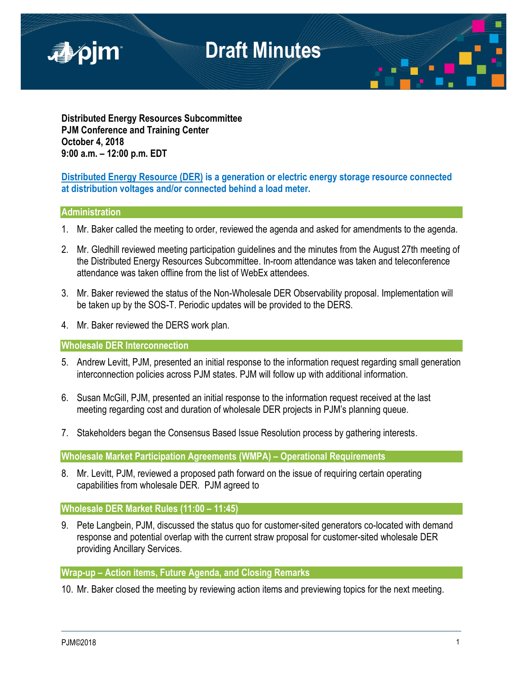

**Distributed Energy Resources Subcommittee PJM Conference and Training Center October 4, 2018 9:00 a.m. – 12:00 p.m. EDT**

## **Distributed Energy Resource (DER) is a generation or electric energy storage resource connected at distribution voltages and/or connected behind a load meter.**

### **Administration**

- 1. Mr. Baker called the meeting to order, reviewed the agenda and asked for amendments to the agenda.
- 2. Mr. Gledhill reviewed meeting participation guidelines and the minutes from the August 27th meeting of the Distributed Energy Resources Subcommittee. In-room attendance was taken and teleconference attendance was taken offline from the list of WebEx attendees.
- 3. Mr. Baker reviewed the status of the Non-Wholesale DER Observability proposal. Implementation will be taken up by the SOS-T. Periodic updates will be provided to the DERS.
- 4. Mr. Baker reviewed the DERS work plan.

**Wholesale DER Interconnection**

- 5. Andrew Levitt, PJM, presented an initial response to the information request regarding small generation interconnection policies across PJM states. PJM will follow up with additional information.
- 6. Susan McGill, PJM, presented an initial response to the information request received at the last meeting regarding cost and duration of wholesale DER projects in PJM's planning queue.
- 7. Stakeholders began the Consensus Based Issue Resolution process by gathering interests.

**Wholesale Market Participation Agreements (WMPA) – Operational Requirements**

8. Mr. Levitt, PJM, reviewed a proposed path forward on the issue of requiring certain operating capabilities from wholesale DER. PJM agreed to

## **Wholesale DER Market Rules (11:00 – 11:45)**

9. Pete Langbein, PJM, discussed the status quo for customer-sited generators co-located with demand response and potential overlap with the current straw proposal for customer-sited wholesale DER providing Ancillary Services.

**Wrap-up – Action items, Future Agenda, and Closing Remarks**

10. Mr. Baker closed the meeting by reviewing action items and previewing topics for the next meeting.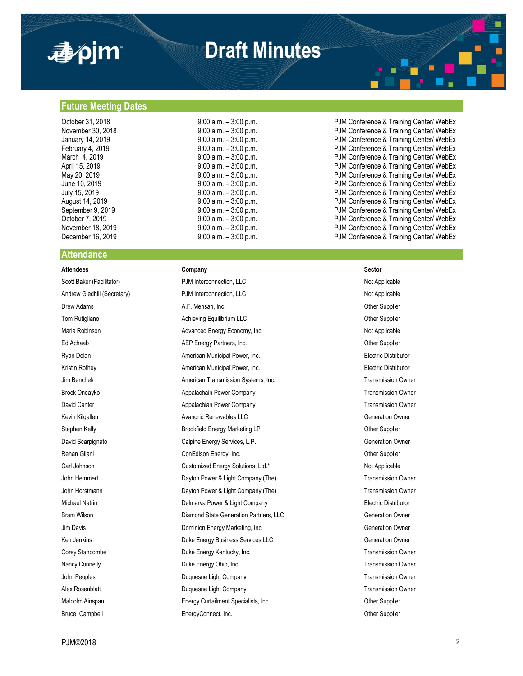

## **Draft Minutes**

#### **Future Meeting Dates**

#### **Attendance**

#### **Attendees Company Sector**

Scott Baker (Facilitator) **PJM Interconnection, LLC** Not Applicable Not Applicable Andrew Gledhill (Secretary) **PJM Interconnection, LLC** Not Applicable Drew Adams **A.F. Mensah, Inc. Community A.F. Mensah, Inc.** Other Supplier Tom Rutigliano **Achieving Equilibrium LLC Achieving Equilibrium LLC Changing Communication** Other Supplier Maria Robinson **Maria Robinson** Advanced Energy Economy, Inc. Not Applicable Not Applicable Ed Achaab **AEP Energy Partners, Inc.** Communication of the Supplier Supplier Ryan Dolan **American Municipal Power, Inc.** American Municipal Power, Inc. **Electric Distributor** Electric Distributor Kristin Rothey **American Municipal Power, Inc.** American Municipal Power, Inc. **Electric Distributor** Jim Benchek **American Transmission Systems, Inc.** Transmission Owner Chamerican Transmission Owner Brock Ondayko **Appalachain Power Company** Transmission Owner Company Transmission Owner David Canter **Appalachian Power Company Transmission Owner Company** Transmission Owner Kevin Kilgallen **Avangrid Renewables LLC** Generation Owner Generation Owner Stephen Kelly **Brookfield Energy Marketing LP Brookfield Energy Marketing LP CHI CHI** Other Supplier David Scarpignato **Calpine Energy Services, L.P.** Capine Energy Services, L.P. Rehan Gilani ConEdison Energy, Inc. ConEdison Energy, Inc. ConEdison Energy, Inc. ConEdison Energy, Inc. ConEdison Energy, Inc. Carl Johnson Customized Energy Solutions, Ltd.\* Not Applicable Customized Energy Solutions, Ltd.\* Not Applicable John Hemmert Dayton Power & Light Company (The) Transmission Owner John Horstmann **Dayton Power & Light Company (The)** Transmission Owner Company (The Company Che) Michael Natrin **Electric Distributor** Delmarva Power & Light Company **Electric Distributor** Electric Distributor Bram Wilson **Diamond State Generation Partners, LLC** Generation Owner Jim Davis Dominion Energy Marketing, Inc. Generation Owner Ken Jenkins **Communist Communist Communist Communist Communist Communist Communist Communist Communist Communist Communist Communist Communist Communist Communist Communist Communist Communist Communist Communist Communist** Corey Stancombe **Stance Energy Kentucky, Inc.** The Corey Stance Corey Stance Transmission Owner Nancy Connelly **Nancy Connelly Duke Energy Ohio, Inc.** The Connection of the Connection Owner and Duke Energy Ohio, Inc. The Connection of the Connection Owner John Peoples **Duquesne Light Company Transmission Owner** Transmission Owner Alex Rosenblatt **Alex Rosenblatt** Cuquesne Light Company **Transmission Owner** Transmission Owner Malcolm Ainspan **Energy Curtailment Specialists, Inc.** The Communication of the Supplier Bruce Campbell **EnergyConnect, Inc.** Communication Champion Cher Supplier

October 31, 2018 **9:00 a.m.** – 3:00 p.m. PJM Conference & Training Center/ WebEx November 30, 2018 **19:00 A.m.** – 3:00 p.m. **PJM Conference & Training Center/ WebEx** January 14, 2019 9:00 a.m. – 3:00 p.m. PJM Conference & Training Center/ WebEx February 4, 2019 **19:00 a.m.** – 3:00 p.m. **PJM Conference & Training Center/ WebEx** March 4, 2019 9:00 a.m. – 3:00 p.m. PJM Conference & Training Center/ WebEx April 15, 2019 9:00 a.m. – 3:00 p.m. PJM Conference & Training Center/ WebEx 9:00 a.m. – 3:00 p.m.<br>9:00 a.m. – 3:00 p.m. <br>PJM Conference & Training Center/ WebEx June 10, 2019 9:00 a.m. – 3:00 p.m. PJM Conference & Training Center/ WebEx July 15, 2019 9:00 a.m. – 3:00 p.m. PJM Conference & Training Center/ WebEx PJM Conference & Training Center/ WebEx September 9, 2019 **9:00 a.m.** – 3:00 p.m. PJM Conference & Training Center/ WebEx October 7, 2019 **19:00 a.m.** – 3:00 p.m. **PJM Conference & Training Center/ WebEx** November 18, 2019 **18. In the State of August 2018** 9:00 a.m. – 3:00 p.m. **PJM Conference & Training Center/ WebEx** December 16, 2019 **19:00 a.m.** – 3:00 p.m. **PJM Conference & Training Center/ WebEx**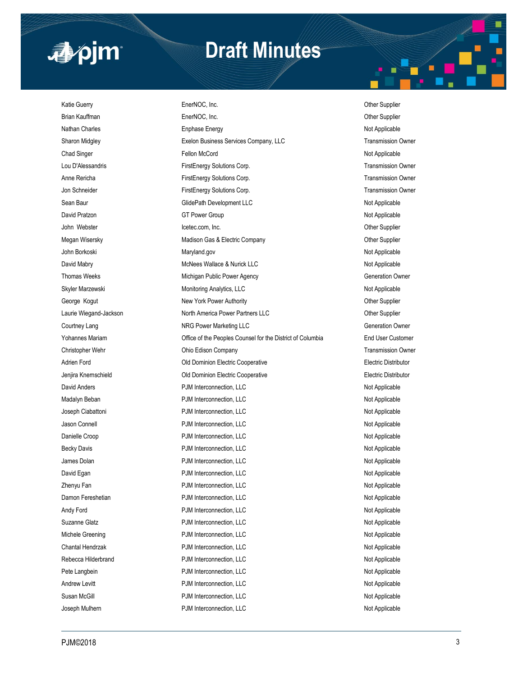

## **Draft Minutes**

Katie Guerry **EnerNOC, Inc.** Character Communication of the Supplier Character Communication of the Supplier Brian Kauffman **EnerNOC, Inc.** Communication Chern Supplier Chern Supplier Nathan Charles **National Englese Energy Not Applicable** Not Applicable Sharon Midgley **Exelon Business Services Company, LLC** Transmission Owner Chad Singer Fellon McCord Not Applicable Lou D'Alessandris **FirstEnergy Solutions Corp.** Transmission Owner Anne Rericha FirstEnergy Solutions Corp. Transmission Owner Corp. Transmission Owner Jon Schneider FirstEnergy Solutions Corp. Transmission Owner Sean Baur **Sean Baur** GlidePath Development LLC **Not Applicable** Not Applicable David Pratzon Not Applicable Communication Communication Communication Communication Communication Communication Communication Communication Communication Communication Communication Communication Communication Communicati John Webster **Internal Studies Community** Icetec.com, Inc. Community Community Community Chemister Other Supplier Megan Wisersky **Matison Gas & Electric Company** Madison Gas & Electric Company **CHACK** John Borkoski Not Applicable Not Applicable Maryland.gov Not Applicable Not Applicable David Mabry **McNees Wallace & Nurick LLC** Not Applicable Applicable Not Applicable Thomas Weeks **Michigan Public Power Agency Michigan Public Power Agency Generation Owner** Skyler Marzewski **Monitoring Analytics, LLC** Not Applicable Not Applicable George Kogut **New York Power Authority New York Power Authority New York Power Authority Other Supplier** Laurie Wiegand-Jackson **North America Power Partners LLC North America Power Partners LLC** Other Supplier Courtney Lang Courtney Lang NRG Power Marketing LLC Courtney Lang Generation Owner Yohannes Mariam Office of the Peoples Counsel for the District of Columbia End User Customer Christopher Wehr **Christopher Wehr** Christopher Wehr Christopher Wehr Christopher Mehr Christopher Owner Christopher Owner Adrien Ford Electric Distributor Cold Dominion Electric Cooperative Communication Electric Distributor Jenjira Knernschield Old Dominion Electric Cooperative Electric Distributor David Anders **Not Applicable** PJM Interconnection, LLC **Not Applicable** Not Applicable Madalyn Beban **National Community Community Community** PJM Interconnection, LLC Not Applicable Joseph Ciabattoni **Not Applicable** PJM Interconnection, LLC Not Applicable Not Applicable Jason Connell PJM Interconnection, LLC Not Applicable Danielle Croop **PJM Interconnection, LLC** Not Applicable **PJM Interconnection**, LLC Becky Davis **Example 20 Interconnection, LLC** Not Applicable Not Applicable James Dolan **National Properties Account PJM Interconnection, LLC** Not Applicable Not Applicable David Egan Not Applicable **PJM** Interconnection, LLC Not Applicable Not Applicable Zhenyu Fan **Not Applicable** PJM Interconnection, LLC Not Applicable Not Applicable Damon Fereshetian **PJM Interconnection, LLC** Not Applicable Not Applicable Andy Ford Not Applicable PJM Interconnection, LLC Not Applicable Not Applicable Suzanne Glatz **PJM Interconnection, LLC** Not Applicable Not Applicable Michele Greening **National PRIM Interconnection, LLC** Not Applicable Not Applicable Chantal Hendrzak **Natural Applicable** PJM Interconnection, LLC Not Applicable Not Applicable Rebecca Hilderbrand **PJM Interconnection, LLC** Not Applicable Not Applicable Pete Langbein **PHM Interconnection, LLC PHM Interconnection**, LLC Andrew Levitt Not Applicable PJM Interconnection, LLC Not Applicable Not Applicable Susan McGill **Subset Connection, CLC** and Applicable Duman McGill Not Applicable PJM Interconnection, LLC

Joseph Mulhern **Number 2008 PDM Interconnection, LLC** Not Applicable Not Applicable